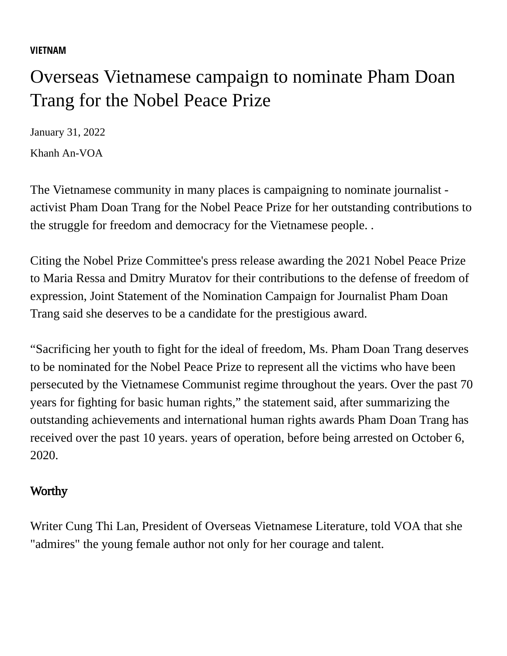## **[VIETNAM](https://www.voatiengviet.com/z/1813)**

## Overseas Vietnamese campaign to nominate Pham Doan Trang for the Nobel Peace Prize

January 31, 2022

[Khanh An-VOA](https://www.voatiengviet.com/author/khanh-an-voa/$-gmo)

The Vietnamese community in many places is campaigning to nominate journalist activist Pham Doan Trang for the Nobel Peace Prize for her outstanding contributions to the struggle for freedom and democracy for the Vietnamese people. .

Citing the Nobel Prize Committee's press release awarding the 2021 Nobel Peace Prize to Maria Ressa and Dmitry Muratov for their contributions to the defense of freedom of expression, Joint Statement of the Nomination Campaign for Journalist Pham Doan Trang said she deserves to be a candidate for the prestigious award.

"Sacrificing her youth to fight for the ideal of freedom, Ms. Pham Doan Trang deserves to be nominated for the Nobel Peace Prize to represent all the victims who have been persecuted by the Vietnamese Communist regime throughout the years. Over the past 70 years for fighting for basic human rights," the statement said, after summarizing the outstanding achievements and international human rights awards Pham Doan Trang has received over the past 10 years. years of operation, before being arrested on October 6, 2020.

## **Worthy**

Writer Cung Thi Lan, President of Overseas Vietnamese Literature, told VOA that she "admires" the young female author not only for her courage and talent.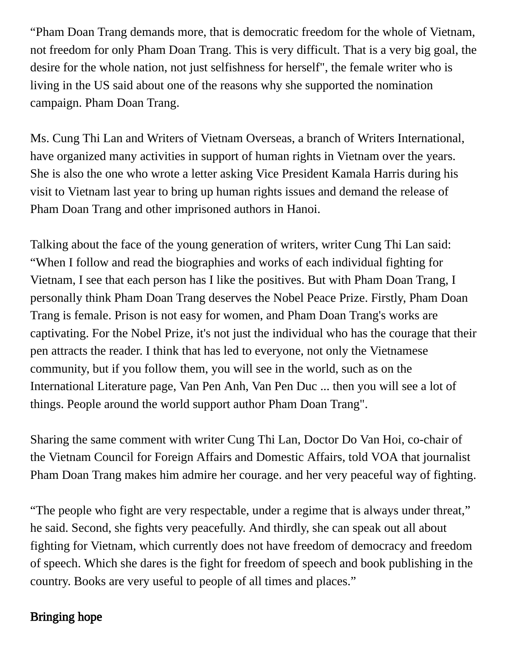"Pham Doan Trang demands more, that is democratic freedom for the whole of Vietnam, not freedom for only Pham Doan Trang. This is very difficult. That is a very big goal, the desire for the whole nation, not just selfishness for herself", the female writer who is living in the US said about one of the reasons why she supported the nomination campaign. Pham Doan Trang.

Ms. Cung Thi Lan and Writers of Vietnam Overseas, a branch of Writers International, have organized many activities in support of human rights in Vietnam over the years. She is also the one who wrote a letter asking Vice President Kamala Harris during his visit to Vietnam last year to bring up human rights issues and demand the release of Pham Doan Trang and other imprisoned authors in Hanoi.

Talking about the face of the young generation of writers, writer Cung Thi Lan said: "When I follow and read the biographies and works of each individual fighting for Vietnam, I see that each person has I like the positives. But with Pham Doan Trang, I personally think Pham Doan Trang deserves the Nobel Peace Prize. Firstly, Pham Doan Trang is female. Prison is not easy for women, and Pham Doan Trang's works are captivating. For the Nobel Prize, it's not just the individual who has the courage that their pen attracts the reader. I think that has led to everyone, not only the Vietnamese community, but if you follow them, you will see in the world, such as on the International Literature page, Van Pen Anh, Van Pen Duc ... then you will see a lot of things. People around the world support author Pham Doan Trang".

Sharing the same comment with writer Cung Thi Lan, Doctor Do Van Hoi, co-chair of the Vietnam Council for Foreign Affairs and Domestic Affairs, told VOA that journalist Pham Doan Trang makes him admire her courage. and her very peaceful way of fighting.

"The people who fight are very respectable, under a regime that is always under threat," he said. Second, she fights very peacefully. And thirdly, she can speak out all about fighting for Vietnam, which currently does not have freedom of democracy and freedom of speech. Which she dares is the fight for freedom of speech and book publishing in the country. Books are very useful to people of all times and places."

## Bringing hope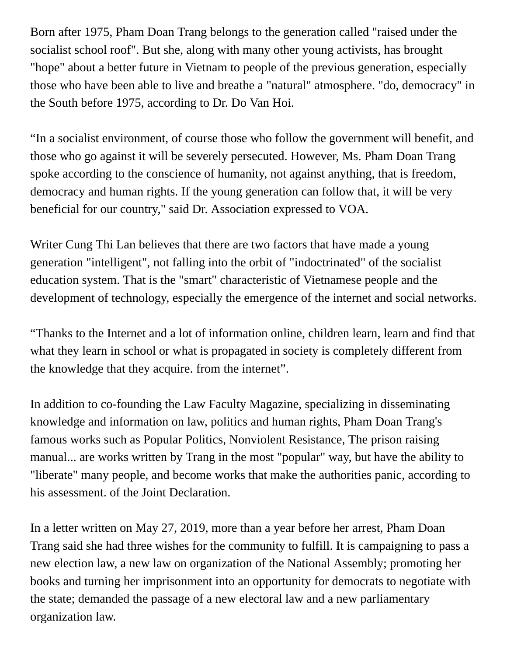Born after 1975, Pham Doan Trang belongs to the generation called "raised under the socialist school roof". But she, along with many other young activists, has brought "hope" about a better future in Vietnam to people of the previous generation, especially those who have been able to live and breathe a "natural" atmosphere. "do, democracy" in the South before 1975, according to Dr. Do Van Hoi.

"In a socialist environment, of course those who follow the government will benefit, and those who go against it will be severely persecuted. However, Ms. Pham Doan Trang spoke according to the conscience of humanity, not against anything, that is freedom, democracy and human rights. If the young generation can follow that, it will be very beneficial for our country," said Dr. Association expressed to VOA.

Writer Cung Thi Lan believes that there are two factors that have made a young generation "intelligent", not falling into the orbit of "indoctrinated" of the socialist education system. That is the "smart" characteristic of Vietnamese people and the development of technology, especially the emergence of the internet and social networks.

"Thanks to the Internet and a lot of information online, children learn, learn and find that what they learn in school or what is propagated in society is completely different from the knowledge that they acquire. from the internet".

In addition to co-founding the Law Faculty Magazine, specializing in disseminating knowledge and information on law, politics and human rights, Pham Doan Trang's famous works such as Popular Politics, Nonviolent Resistance, The prison raising manual... are works written by Trang in the most "popular" way, but have the ability to "liberate" many people, and become works that make the authorities panic, according to his assessment. of the Joint Declaration.

In a letter written on May 27, 2019, more than a year before her arrest, Pham Doan Trang said she had three wishes for the community to fulfill. It is campaigning to pass a new election law, a new law on organization of the National Assembly; promoting her books and turning her imprisonment into an opportunity for democrats to negotiate with the state; demanded the passage of a new electoral law and a new parliamentary organization law.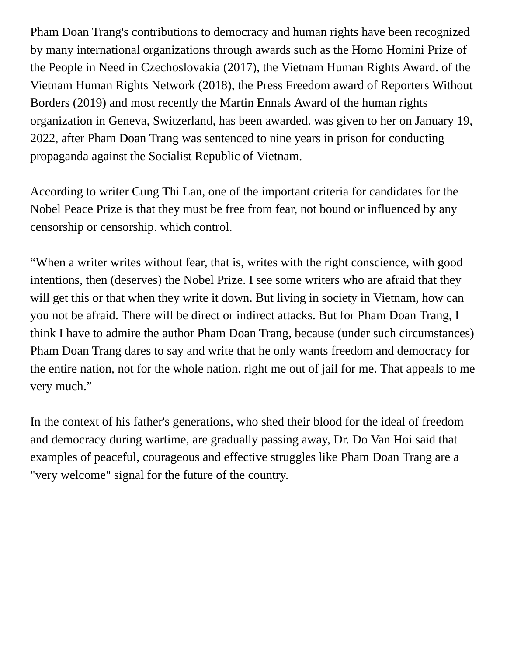Pham Doan Trang's contributions to democracy and human rights have been recognized by many international organizations through awards such as the Homo Homini Prize of the People in Need in Czechoslovakia (2017), the Vietnam Human Rights Award. of the Vietnam Human Rights Network (2018), the Press Freedom award of Reporters Without Borders (2019) and most recently the Martin Ennals Award of the human rights organization in Geneva, Switzerland, has been awarded. was given to her on January 19, 2022, after Pham Doan Trang was sentenced to nine years in prison for conducting propaganda against the Socialist Republic of Vietnam.

According to writer Cung Thi Lan, one of the important criteria for candidates for the Nobel Peace Prize is that they must be free from fear, not bound or influenced by any censorship or censorship. which control.

"When a writer writes without fear, that is, writes with the right conscience, with good intentions, then (deserves) the Nobel Prize. I see some writers who are afraid that they will get this or that when they write it down. But living in society in Vietnam, how can you not be afraid. There will be direct or indirect attacks. But for Pham Doan Trang, I think I have to admire the author Pham Doan Trang, because (under such circumstances) Pham Doan Trang dares to say and write that he only wants freedom and democracy for the entire nation, not for the whole nation. right me out of jail for me. That appeals to me very much."

In the context of his father's generations, who shed their blood for the ideal of freedom and democracy during wartime, are gradually passing away, Dr. Do Van Hoi said that examples of peaceful, courageous and effective struggles like Pham Doan Trang are a "very welcome" signal for the future of the country.